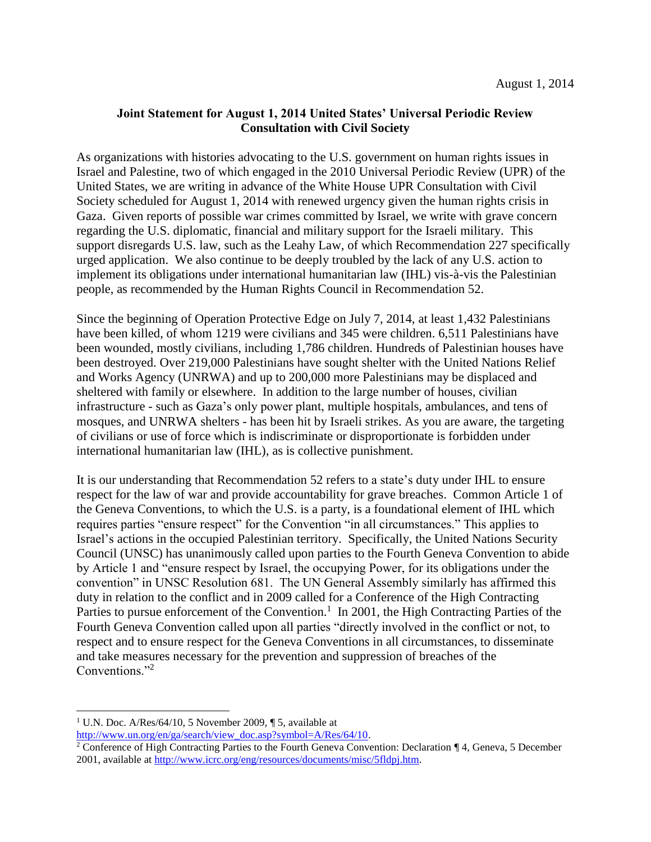## **Joint Statement for August 1, 2014 United States' Universal Periodic Review Consultation with Civil Society**

As organizations with histories advocating to the U.S. government on human rights issues in Israel and Palestine, two of which engaged in the 2010 Universal Periodic Review (UPR) of the United States, we are writing in advance of the White House UPR Consultation with Civil Society scheduled for August 1, 2014 with renewed urgency given the human rights crisis in Gaza. Given reports of possible war crimes committed by Israel, we write with grave concern regarding the U.S. diplomatic, financial and military support for the Israeli military. This support disregards U.S. law, such as the Leahy Law, of which Recommendation 227 specifically urged application. We also continue to be deeply troubled by the lack of any U.S. action to implement its obligations under international humanitarian law (IHL) vis-à-vis the Palestinian people, as recommended by the Human Rights Council in Recommendation 52.

Since the beginning of Operation Protective Edge on July 7, 2014, at least 1,432 Palestinians have been killed, of whom 1219 were civilians and 345 were children. 6,511 Palestinians have been wounded, mostly civilians, including 1,786 children. Hundreds of Palestinian houses have been destroyed. Over 219,000 Palestinians have sought shelter with the United Nations Relief and Works Agency (UNRWA) and up to 200,000 more Palestinians may be displaced and sheltered with family or elsewhere. In addition to the large number of houses, civilian infrastructure - such as Gaza's only power plant, multiple hospitals, ambulances, and tens of mosques, and UNRWA shelters - has been hit by Israeli strikes. As you are aware, the targeting of civilians or use of force which is indiscriminate or disproportionate is forbidden under international humanitarian law (IHL), as is collective punishment.

It is our understanding that Recommendation 52 refers to a state's duty under IHL to ensure respect for the law of war and provide accountability for grave breaches. Common Article 1 of the Geneva Conventions, to which the U.S. is a party, is a foundational element of IHL which requires parties "ensure respect" for the Convention "in all circumstances." This applies to Israel's actions in the occupied Palestinian territory. Specifically, the United Nations Security Council (UNSC) has unanimously called upon parties to the Fourth Geneva Convention to abide by Article 1 and "ensure respect by Israel, the occupying Power, for its obligations under the convention" in UNSC Resolution 681. The UN General Assembly similarly has affirmed this duty in relation to the conflict and in 2009 called for a Conference of the High Contracting Parties to pursue enforcement of the Convention.<sup>1</sup> In 2001, the High Contracting Parties of the Fourth Geneva Convention called upon all parties "directly involved in the conflict or not, to respect and to ensure respect for the Geneva Conventions in all circumstances, to disseminate and take measures necessary for the prevention and suppression of breaches of the Conventions."<sup>2</sup>

 $\overline{\phantom{a}}$ 

[http://www.un.org/en/ga/search/view\\_doc.asp?symbol=A/Res/64/10.](http://www.un.org/en/ga/search/view_doc.asp?symbol=A/Res/64/10)

<sup>&</sup>lt;sup>1</sup> U.N. Doc. A/Res/64/10, 5 November 2009,  $\P$  5, available at

<sup>2</sup> Conference of High Contracting Parties to the Fourth Geneva Convention: Declaration ¶ 4, Geneva, 5 December 2001, available at [http://www.icrc.org/eng/resources/documents/misc/5fldpj.htm.](http://www.icrc.org/eng/resources/documents/misc/5fldpj.htm)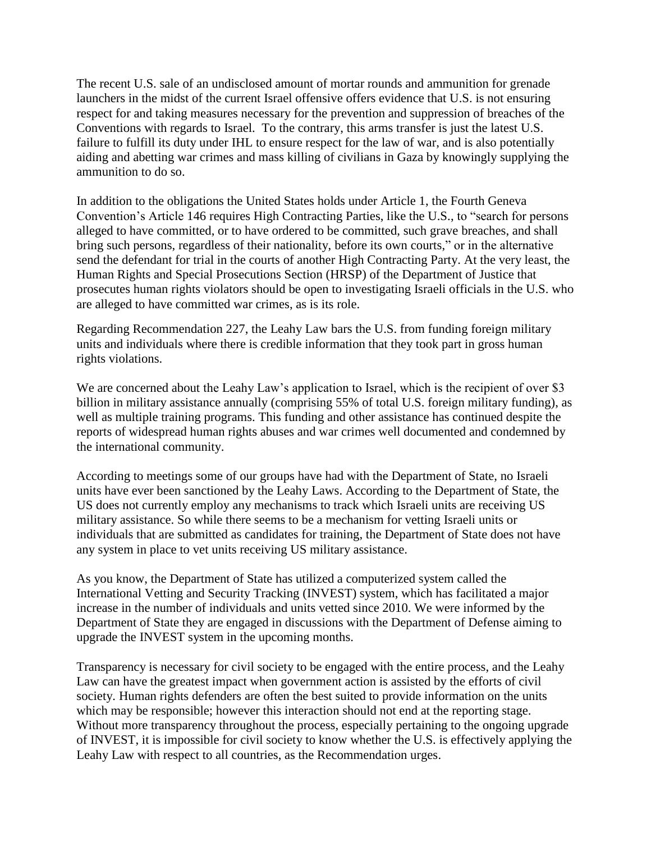The recent U.S. sale of an undisclosed amount of mortar rounds and ammunition for grenade launchers in the midst of the current Israel offensive offers evidence that U.S. is not ensuring respect for and taking measures necessary for the prevention and suppression of breaches of the Conventions with regards to Israel. To the contrary, this arms transfer is just the latest U.S. failure to fulfill its duty under IHL to ensure respect for the law of war, and is also potentially aiding and abetting war crimes and mass killing of civilians in Gaza by knowingly supplying the ammunition to do so.

In addition to the obligations the United States holds under Article 1, the Fourth Geneva Convention's Article 146 requires High Contracting Parties, like the U.S., to "search for persons alleged to have committed, or to have ordered to be committed, such grave breaches, and shall bring such persons, regardless of their nationality, before its own courts," or in the alternative send the defendant for trial in the courts of another High Contracting Party. At the very least, the Human Rights and Special Prosecutions Section (HRSP) of the Department of Justice that prosecutes human rights violators should be open to investigating Israeli officials in the U.S. who are alleged to have committed war crimes, as is its role.

Regarding Recommendation 227, the Leahy Law bars the U.S. from funding foreign military units and individuals where there is credible information that they took part in gross human rights violations.

We are concerned about the Leahy Law's application to Israel, which is the recipient of over \$3 billion in military assistance annually (comprising 55% of total U.S. foreign military funding), as well as multiple training programs. This funding and other assistance has continued despite the reports of widespread human rights abuses and war crimes well documented and condemned by the international community.

According to meetings some of our groups have had with the Department of State, no Israeli units have ever been sanctioned by the Leahy Laws. According to the Department of State, the US does not currently employ any mechanisms to track which Israeli units are receiving US military assistance. So while there seems to be a mechanism for vetting Israeli units or individuals that are submitted as candidates for training, the Department of State does not have any system in place to vet units receiving US military assistance.

As you know, the Department of State has utilized a computerized system called the International Vetting and Security Tracking (INVEST) system, which has facilitated a major increase in the number of individuals and units vetted since 2010. We were informed by the Department of State they are engaged in discussions with the Department of Defense aiming to upgrade the INVEST system in the upcoming months.

Transparency is necessary for civil society to be engaged with the entire process, and the Leahy Law can have the greatest impact when government action is assisted by the efforts of civil society. Human rights defenders are often the best suited to provide information on the units which may be responsible; however this interaction should not end at the reporting stage. Without more transparency throughout the process, especially pertaining to the ongoing upgrade of INVEST, it is impossible for civil society to know whether the U.S. is effectively applying the Leahy Law with respect to all countries, as the Recommendation urges.